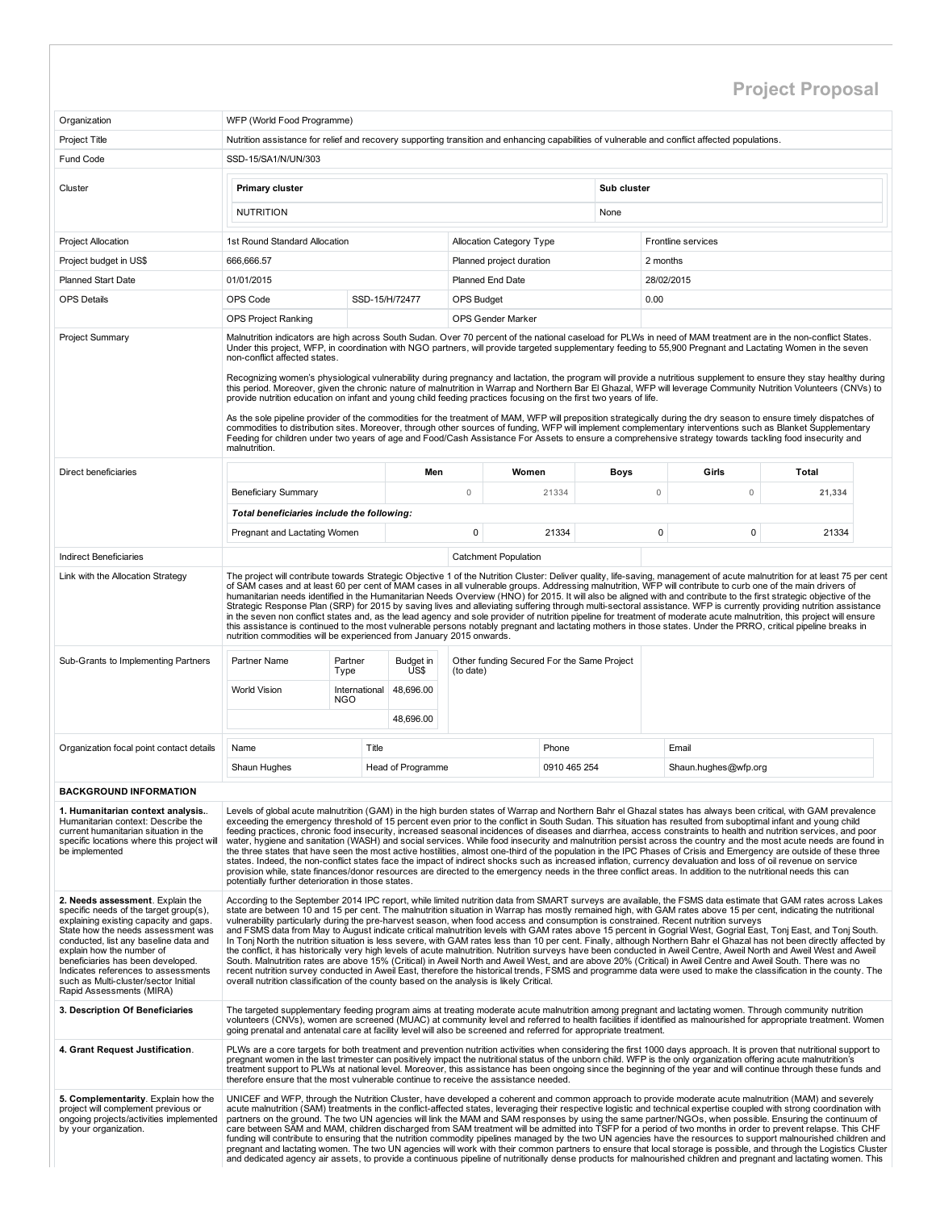## Project Proposal

| Organization                                                                                                                                                                                                                                                                                                                                                                     | WFP (World Food Programme)                                                                                                                                                                                                                                                                                                                                                                                                                                                                                                                                                                                                                                                                                                                                                                                                                                                                                                                                                                                                                                                                                                                                                                                                                                                                                                                                                                                                         |                                                                                                                                                                                                                                                                                                                                                                                                                                                                                                                                                                                                                                                                                                                                                                                                                                                                                                                                                                                                                                                                                                                  |                   |                                                         |                             |             |             |             |                      |        |  |  |  |  |
|----------------------------------------------------------------------------------------------------------------------------------------------------------------------------------------------------------------------------------------------------------------------------------------------------------------------------------------------------------------------------------|------------------------------------------------------------------------------------------------------------------------------------------------------------------------------------------------------------------------------------------------------------------------------------------------------------------------------------------------------------------------------------------------------------------------------------------------------------------------------------------------------------------------------------------------------------------------------------------------------------------------------------------------------------------------------------------------------------------------------------------------------------------------------------------------------------------------------------------------------------------------------------------------------------------------------------------------------------------------------------------------------------------------------------------------------------------------------------------------------------------------------------------------------------------------------------------------------------------------------------------------------------------------------------------------------------------------------------------------------------------------------------------------------------------------------------|------------------------------------------------------------------------------------------------------------------------------------------------------------------------------------------------------------------------------------------------------------------------------------------------------------------------------------------------------------------------------------------------------------------------------------------------------------------------------------------------------------------------------------------------------------------------------------------------------------------------------------------------------------------------------------------------------------------------------------------------------------------------------------------------------------------------------------------------------------------------------------------------------------------------------------------------------------------------------------------------------------------------------------------------------------------------------------------------------------------|-------------------|---------------------------------------------------------|-----------------------------|-------------|-------------|-------------|----------------------|--------|--|--|--|--|
| Project Title                                                                                                                                                                                                                                                                                                                                                                    | Nutrition assistance for relief and recovery supporting transition and enhancing capabilities of vulnerable and conflict affected populations.                                                                                                                                                                                                                                                                                                                                                                                                                                                                                                                                                                                                                                                                                                                                                                                                                                                                                                                                                                                                                                                                                                                                                                                                                                                                                     |                                                                                                                                                                                                                                                                                                                                                                                                                                                                                                                                                                                                                                                                                                                                                                                                                                                                                                                                                                                                                                                                                                                  |                   |                                                         |                             |             |             |             |                      |        |  |  |  |  |
| Fund Code                                                                                                                                                                                                                                                                                                                                                                        | SSD-15/SA1/N/UN/303                                                                                                                                                                                                                                                                                                                                                                                                                                                                                                                                                                                                                                                                                                                                                                                                                                                                                                                                                                                                                                                                                                                                                                                                                                                                                                                                                                                                                |                                                                                                                                                                                                                                                                                                                                                                                                                                                                                                                                                                                                                                                                                                                                                                                                                                                                                                                                                                                                                                                                                                                  |                   |                                                         |                             |             |             |             |                      |        |  |  |  |  |
|                                                                                                                                                                                                                                                                                                                                                                                  |                                                                                                                                                                                                                                                                                                                                                                                                                                                                                                                                                                                                                                                                                                                                                                                                                                                                                                                                                                                                                                                                                                                                                                                                                                                                                                                                                                                                                                    |                                                                                                                                                                                                                                                                                                                                                                                                                                                                                                                                                                                                                                                                                                                                                                                                                                                                                                                                                                                                                                                                                                                  |                   |                                                         |                             |             |             |             |                      |        |  |  |  |  |
| Cluster                                                                                                                                                                                                                                                                                                                                                                          | <b>Primary cluster</b>                                                                                                                                                                                                                                                                                                                                                                                                                                                                                                                                                                                                                                                                                                                                                                                                                                                                                                                                                                                                                                                                                                                                                                                                                                                                                                                                                                                                             |                                                                                                                                                                                                                                                                                                                                                                                                                                                                                                                                                                                                                                                                                                                                                                                                                                                                                                                                                                                                                                                                                                                  |                   |                                                         |                             | Sub cluster |             |             |                      |        |  |  |  |  |
|                                                                                                                                                                                                                                                                                                                                                                                  | <b>NUTRITION</b>                                                                                                                                                                                                                                                                                                                                                                                                                                                                                                                                                                                                                                                                                                                                                                                                                                                                                                                                                                                                                                                                                                                                                                                                                                                                                                                                                                                                                   |                                                                                                                                                                                                                                                                                                                                                                                                                                                                                                                                                                                                                                                                                                                                                                                                                                                                                                                                                                                                                                                                                                                  |                   |                                                         |                             | None        |             |             |                      |        |  |  |  |  |
| <b>Project Allocation</b>                                                                                                                                                                                                                                                                                                                                                        | 1st Round Standard Allocation                                                                                                                                                                                                                                                                                                                                                                                                                                                                                                                                                                                                                                                                                                                                                                                                                                                                                                                                                                                                                                                                                                                                                                                                                                                                                                                                                                                                      |                                                                                                                                                                                                                                                                                                                                                                                                                                                                                                                                                                                                                                                                                                                                                                                                                                                                                                                                                                                                                                                                                                                  |                   |                                                         | Allocation Category Type    |             |             |             | Frontline services   |        |  |  |  |  |
| Project budget in US\$                                                                                                                                                                                                                                                                                                                                                           | 666,666.57                                                                                                                                                                                                                                                                                                                                                                                                                                                                                                                                                                                                                                                                                                                                                                                                                                                                                                                                                                                                                                                                                                                                                                                                                                                                                                                                                                                                                         |                                                                                                                                                                                                                                                                                                                                                                                                                                                                                                                                                                                                                                                                                                                                                                                                                                                                                                                                                                                                                                                                                                                  |                   |                                                         | Planned project duration    |             |             | 2 months    |                      |        |  |  |  |  |
| <b>Planned Start Date</b>                                                                                                                                                                                                                                                                                                                                                        | 01/01/2015                                                                                                                                                                                                                                                                                                                                                                                                                                                                                                                                                                                                                                                                                                                                                                                                                                                                                                                                                                                                                                                                                                                                                                                                                                                                                                                                                                                                                         |                                                                                                                                                                                                                                                                                                                                                                                                                                                                                                                                                                                                                                                                                                                                                                                                                                                                                                                                                                                                                                                                                                                  |                   | Planned End Date                                        |                             |             |             |             | 28/02/2015           |        |  |  |  |  |
| <b>OPS Details</b>                                                                                                                                                                                                                                                                                                                                                               | OPS Code                                                                                                                                                                                                                                                                                                                                                                                                                                                                                                                                                                                                                                                                                                                                                                                                                                                                                                                                                                                                                                                                                                                                                                                                                                                                                                                                                                                                                           |                                                                                                                                                                                                                                                                                                                                                                                                                                                                                                                                                                                                                                                                                                                                                                                                                                                                                                                                                                                                                                                                                                                  | SSD-15/H/72477    | <b>OPS Budget</b>                                       |                             |             |             | 0.00        |                      |        |  |  |  |  |
|                                                                                                                                                                                                                                                                                                                                                                                  | <b>OPS Project Ranking</b>                                                                                                                                                                                                                                                                                                                                                                                                                                                                                                                                                                                                                                                                                                                                                                                                                                                                                                                                                                                                                                                                                                                                                                                                                                                                                                                                                                                                         |                                                                                                                                                                                                                                                                                                                                                                                                                                                                                                                                                                                                                                                                                                                                                                                                                                                                                                                                                                                                                                                                                                                  |                   |                                                         | <b>OPS Gender Marker</b>    |             |             |             |                      |        |  |  |  |  |
| <b>Project Summary</b>                                                                                                                                                                                                                                                                                                                                                           | Malnutrition indicators are high across South Sudan. Over 70 percent of the national caseload for PLWs in need of MAM treatment are in the non-conflict States.<br>Under this project, WFP, in coordination with NGO partners, will provide targeted supplementary feeding to 55,900 Pregnant and Lactating Women in the seven<br>non-conflict affected states.<br>Recognizing women's physiological vulnerability during pregnancy and lactation, the program will provide a nutritious supplement to ensure they stay healthy during                                                                                                                                                                                                                                                                                                                                                                                                                                                                                                                                                                                                                                                                                                                                                                                                                                                                                             |                                                                                                                                                                                                                                                                                                                                                                                                                                                                                                                                                                                                                                                                                                                                                                                                                                                                                                                                                                                                                                                                                                                  |                   |                                                         |                             |             |             |             |                      |        |  |  |  |  |
|                                                                                                                                                                                                                                                                                                                                                                                  | this period. Moreover, given the chronic nature of malnutrition in Warrap and Northern Bar El Ghazal, WFP will leverage Community Nutrition Volunteers (CNVs) to<br>provide nutrition education on infant and young child feeding practices focusing on the first two years of life.                                                                                                                                                                                                                                                                                                                                                                                                                                                                                                                                                                                                                                                                                                                                                                                                                                                                                                                                                                                                                                                                                                                                               |                                                                                                                                                                                                                                                                                                                                                                                                                                                                                                                                                                                                                                                                                                                                                                                                                                                                                                                                                                                                                                                                                                                  |                   |                                                         |                             |             |             |             |                      |        |  |  |  |  |
|                                                                                                                                                                                                                                                                                                                                                                                  | malnutrition.                                                                                                                                                                                                                                                                                                                                                                                                                                                                                                                                                                                                                                                                                                                                                                                                                                                                                                                                                                                                                                                                                                                                                                                                                                                                                                                                                                                                                      | As the sole pipeline provider of the commodities for the treatment of MAM, WFP will preposition strategically during the dry season to ensure timely dispatches of<br>commodities to distribution sites. Moreover, through other sources of funding, WFP will implement complementary interventions such as Blanket Supplementary<br>Feeding for children under two years of age and Food/Cash Assistance For Assets to ensure a comprehensive strategy towards tackling food insecurity and                                                                                                                                                                                                                                                                                                                                                                                                                                                                                                                                                                                                                     |                   |                                                         |                             |             |             |             |                      |        |  |  |  |  |
| Direct beneficiaries                                                                                                                                                                                                                                                                                                                                                             |                                                                                                                                                                                                                                                                                                                                                                                                                                                                                                                                                                                                                                                                                                                                                                                                                                                                                                                                                                                                                                                                                                                                                                                                                                                                                                                                                                                                                                    |                                                                                                                                                                                                                                                                                                                                                                                                                                                                                                                                                                                                                                                                                                                                                                                                                                                                                                                                                                                                                                                                                                                  | Men               |                                                         | Women                       |             | <b>Boys</b> |             | Girls                | Total  |  |  |  |  |
|                                                                                                                                                                                                                                                                                                                                                                                  | <b>Beneficiary Summary</b>                                                                                                                                                                                                                                                                                                                                                                                                                                                                                                                                                                                                                                                                                                                                                                                                                                                                                                                                                                                                                                                                                                                                                                                                                                                                                                                                                                                                         |                                                                                                                                                                                                                                                                                                                                                                                                                                                                                                                                                                                                                                                                                                                                                                                                                                                                                                                                                                                                                                                                                                                  |                   | $\mathbf 0$                                             |                             | 21334       |             | $\mathbb O$ | $\mathsf{O}\xspace$  | 21,334 |  |  |  |  |
|                                                                                                                                                                                                                                                                                                                                                                                  | Total beneficiaries include the following:                                                                                                                                                                                                                                                                                                                                                                                                                                                                                                                                                                                                                                                                                                                                                                                                                                                                                                                                                                                                                                                                                                                                                                                                                                                                                                                                                                                         |                                                                                                                                                                                                                                                                                                                                                                                                                                                                                                                                                                                                                                                                                                                                                                                                                                                                                                                                                                                                                                                                                                                  |                   |                                                         |                             |             |             |             |                      |        |  |  |  |  |
|                                                                                                                                                                                                                                                                                                                                                                                  | Pregnant and Lactating Women                                                                                                                                                                                                                                                                                                                                                                                                                                                                                                                                                                                                                                                                                                                                                                                                                                                                                                                                                                                                                                                                                                                                                                                                                                                                                                                                                                                                       |                                                                                                                                                                                                                                                                                                                                                                                                                                                                                                                                                                                                                                                                                                                                                                                                                                                                                                                                                                                                                                                                                                                  |                   | $\mathbf 0$                                             |                             | 21334       |             | 0           | 0                    | 21334  |  |  |  |  |
| Indirect Beneficiaries                                                                                                                                                                                                                                                                                                                                                           |                                                                                                                                                                                                                                                                                                                                                                                                                                                                                                                                                                                                                                                                                                                                                                                                                                                                                                                                                                                                                                                                                                                                                                                                                                                                                                                                                                                                                                    |                                                                                                                                                                                                                                                                                                                                                                                                                                                                                                                                                                                                                                                                                                                                                                                                                                                                                                                                                                                                                                                                                                                  |                   |                                                         | <b>Catchment Population</b> |             |             |             |                      |        |  |  |  |  |
| Link with the Allocation Strategy                                                                                                                                                                                                                                                                                                                                                |                                                                                                                                                                                                                                                                                                                                                                                                                                                                                                                                                                                                                                                                                                                                                                                                                                                                                                                                                                                                                                                                                                                                                                                                                                                                                                                                                                                                                                    | The project will contribute towards Strategic Objective 1 of the Nutrition Cluster: Deliver quality, life-saving, management of acute malnutrition for at least 75 per cent<br>of SAM cases and at least 60 per cent of MAM cases in all vulnerable groups. Addressing malnutrition, WFP will contribute to curb one of the main drivers of<br>humanitarian needs identified in the Humanitarian Needs Overview (HNO) for 2015. It will also be aligned with and contribute to the first strategic objective of the<br>Strategic Response Plan (SRP) for 2015 by saving lives and alleviating suffering through multi-sectoral assistance. WFP is currently providing nutrition assistance<br>in the seven non conflict states and, as the lead agency and sole provider of nutrition pipeline for treatment of moderate acute malnutrition, this project will ensure<br>this assistance is continued to the most vulnerable persons notably pregnant and lactating mothers in those states. Under the PRRO, critical pipeline breaks in<br>nutrition commodities will be experienced from January 2015 onwards. |                   |                                                         |                             |             |             |             |                      |        |  |  |  |  |
| Sub-Grants to Implementing Partners                                                                                                                                                                                                                                                                                                                                              | Partner Name                                                                                                                                                                                                                                                                                                                                                                                                                                                                                                                                                                                                                                                                                                                                                                                                                                                                                                                                                                                                                                                                                                                                                                                                                                                                                                                                                                                                                       | Partner<br>Type                                                                                                                                                                                                                                                                                                                                                                                                                                                                                                                                                                                                                                                                                                                                                                                                                                                                                                                                                                                                                                                                                                  | Budget in<br>US\$ | Other funding Secured For the Same Project<br>(to date) |                             |             |             |             |                      |        |  |  |  |  |
|                                                                                                                                                                                                                                                                                                                                                                                  | <b>World Vision</b>                                                                                                                                                                                                                                                                                                                                                                                                                                                                                                                                                                                                                                                                                                                                                                                                                                                                                                                                                                                                                                                                                                                                                                                                                                                                                                                                                                                                                | International<br><b>NGO</b>                                                                                                                                                                                                                                                                                                                                                                                                                                                                                                                                                                                                                                                                                                                                                                                                                                                                                                                                                                                                                                                                                      | 48,696.00         |                                                         |                             |             |             |             |                      |        |  |  |  |  |
|                                                                                                                                                                                                                                                                                                                                                                                  |                                                                                                                                                                                                                                                                                                                                                                                                                                                                                                                                                                                                                                                                                                                                                                                                                                                                                                                                                                                                                                                                                                                                                                                                                                                                                                                                                                                                                                    |                                                                                                                                                                                                                                                                                                                                                                                                                                                                                                                                                                                                                                                                                                                                                                                                                                                                                                                                                                                                                                                                                                                  | 48,696.00         |                                                         |                             |             |             |             |                      |        |  |  |  |  |
| Organization focal point contact details                                                                                                                                                                                                                                                                                                                                         | Name                                                                                                                                                                                                                                                                                                                                                                                                                                                                                                                                                                                                                                                                                                                                                                                                                                                                                                                                                                                                                                                                                                                                                                                                                                                                                                                                                                                                                               | Title                                                                                                                                                                                                                                                                                                                                                                                                                                                                                                                                                                                                                                                                                                                                                                                                                                                                                                                                                                                                                                                                                                            |                   |                                                         | Phone                       |             |             | Email       |                      |        |  |  |  |  |
|                                                                                                                                                                                                                                                                                                                                                                                  | Shaun Hughes                                                                                                                                                                                                                                                                                                                                                                                                                                                                                                                                                                                                                                                                                                                                                                                                                                                                                                                                                                                                                                                                                                                                                                                                                                                                                                                                                                                                                       |                                                                                                                                                                                                                                                                                                                                                                                                                                                                                                                                                                                                                                                                                                                                                                                                                                                                                                                                                                                                                                                                                                                  | Head of Programme | 0910 465 254                                            |                             |             |             |             | Shaun.hughes@wfp.org |        |  |  |  |  |
| <b>BACKGROUND INFORMATION</b>                                                                                                                                                                                                                                                                                                                                                    |                                                                                                                                                                                                                                                                                                                                                                                                                                                                                                                                                                                                                                                                                                                                                                                                                                                                                                                                                                                                                                                                                                                                                                                                                                                                                                                                                                                                                                    |                                                                                                                                                                                                                                                                                                                                                                                                                                                                                                                                                                                                                                                                                                                                                                                                                                                                                                                                                                                                                                                                                                                  |                   |                                                         |                             |             |             |             |                      |        |  |  |  |  |
| 1. Humanitarian context analysis<br>Humanitarian context: Describe the<br>current humanitarian situation in the<br>specific locations where this project will<br>be implemented                                                                                                                                                                                                  | Levels of global acute malnutrition (GAM) in the high burden states of Warrap and Northern Bahr el Ghazal states has always been critical, with GAM prevalence<br>exceeding the emergency threshold of 15 percent even prior to the conflict in South Sudan. This situation has resulted from suboptimal infant and young child<br>feeding practices, chronic food insecurity, increased seasonal incidences of diseases and diarrhea, access constraints to health and nutrition services, and poor<br>water, hygiene and sanitation (WASH) and social services. While food insecurity and malnutrition persist across the country and the most acute needs are found in<br>the three states that have seen the most active hostilities, almost one-third of the population in the IPC Phases of Crisis and Emergency are outside of these three<br>states. Indeed, the non-conflict states face the impact of indirect shocks such as increased inflation, currency devaluation and loss of oil revenue on service<br>provision while, state finances/donor resources are directed to the emergency needs in the three conflict areas. In addition to the nutritional needs this can<br>potentially further deterioration in those states.                                                                                                                                                                                       |                                                                                                                                                                                                                                                                                                                                                                                                                                                                                                                                                                                                                                                                                                                                                                                                                                                                                                                                                                                                                                                                                                                  |                   |                                                         |                             |             |             |             |                      |        |  |  |  |  |
| 2. Needs assessment. Explain the<br>specific needs of the target group(s),<br>explaining existing capacity and gaps.<br>State how the needs assessment was<br>conducted, list any baseline data and<br>explain how the number of<br>beneficiaries has been developed.<br>Indicates references to assessments<br>such as Multi-cluster/sector Initial<br>Rapid Assessments (MIRA) | According to the September 2014 IPC report, while limited nutrition data from SMART surveys are available, the FSMS data estimate that GAM rates across Lakes<br>state are between 10 and 15 per cent. The malnutrition situation in Warrap has mostly remained high, with GAM rates above 15 per cent, indicating the nutritional<br>vulnerability particularly during the pre-harvest season, when food access and consumption is constrained. Recent nutrition surveys<br>and FSMS data from May to August indicate critical malnutrition levels with GAM rates above 15 percent in Gogrial West, Gogrial East, Tonj East, and Tonj South.<br>In Tonj North the nutrition situation is less severe, with GAM rates less than 10 per cent. Finally, although Northern Bahr el Ghazal has not been directly affected by<br>the conflict, it has historically very high levels of acute malnutrition. Nutrition surveys have been conducted in Aweil Centre, Aweil North and Aweil West and Aweil<br>South. Malnutrition rates are above 15% (Critical) in Aweil North and Aweil West, and are above 20% (Critical) in Aweil Centre and Aweil South. There was no<br>recent nutrition survey conducted in Aweil East, therefore the historical trends, FSMS and programme data were used to make the classification in the county. The<br>overall nutrition classification of the county based on the analysis is likely Critical. |                                                                                                                                                                                                                                                                                                                                                                                                                                                                                                                                                                                                                                                                                                                                                                                                                                                                                                                                                                                                                                                                                                                  |                   |                                                         |                             |             |             |             |                      |        |  |  |  |  |
| 3. Description Of Beneficiaries                                                                                                                                                                                                                                                                                                                                                  | The targeted supplementary feeding program aims at treating moderate acute malnutrition among pregnant and lactating women. Through community nutrition<br>volunteers (CNVs), women are screened (MUAC) at community level and referred to health facilities if identified as malnourished for appropriate treatment. Women<br>going prenatal and antenatal care at facility level will also be screened and referred for appropriate treatment.                                                                                                                                                                                                                                                                                                                                                                                                                                                                                                                                                                                                                                                                                                                                                                                                                                                                                                                                                                                   |                                                                                                                                                                                                                                                                                                                                                                                                                                                                                                                                                                                                                                                                                                                                                                                                                                                                                                                                                                                                                                                                                                                  |                   |                                                         |                             |             |             |             |                      |        |  |  |  |  |
| 4. Grant Request Justification.                                                                                                                                                                                                                                                                                                                                                  | PLWs are a core targets for both treatment and prevention nutrition activities when considering the first 1000 days approach. It is proven that nutritional support to<br>pregnant women in the last trimester can positively impact the nutritional status of the unborn child. WFP is the only organization offering acute malnutrition's<br>treatment support to PLWs at national level. Moreover, this assistance has been ongoing since the beginning of the year and will continue through these funds and<br>therefore ensure that the most vulnerable continue to receive the assistance needed.                                                                                                                                                                                                                                                                                                                                                                                                                                                                                                                                                                                                                                                                                                                                                                                                                           |                                                                                                                                                                                                                                                                                                                                                                                                                                                                                                                                                                                                                                                                                                                                                                                                                                                                                                                                                                                                                                                                                                                  |                   |                                                         |                             |             |             |             |                      |        |  |  |  |  |
| 5. Complementarity. Explain how the<br>project will complement previous or<br>ongoing projects/activities implemented<br>by your organization.                                                                                                                                                                                                                                   | UNICEF and WFP, through the Nutrition Cluster, have developed a coherent and common approach to provide moderate acute malnutrition (MAM) and severely<br>acute malnutrition (SAM) treatments in the conflict-affected states, leveraging their respective logistic and technical expertise coupled with strong coordination with<br>partners on the ground. The two UN agencies will link the MAM and SAM responses by using the same partner/NGOs, when possible. Ensuring the continuum of<br>care between SAM and MAM, children discharged from SAM treatment will be admitted into TSFP for a period of two months in order to prevent relapse. This CHF<br>funding will contribute to ensuring that the nutrition commodity pipelines managed by the two UN agencies have the resources to support malnourished children and<br>pregnant and lactating women. The two UN agencies will work with their common partners to ensure that local storage is possible, and through the Logistics Cluster<br>and dedicated agency air assets, to provide a continuous pipeline of nutritionally dense products for malnourished children and pregnant and lactating women. This                                                                                                                                                                                                                                                     |                                                                                                                                                                                                                                                                                                                                                                                                                                                                                                                                                                                                                                                                                                                                                                                                                                                                                                                                                                                                                                                                                                                  |                   |                                                         |                             |             |             |             |                      |        |  |  |  |  |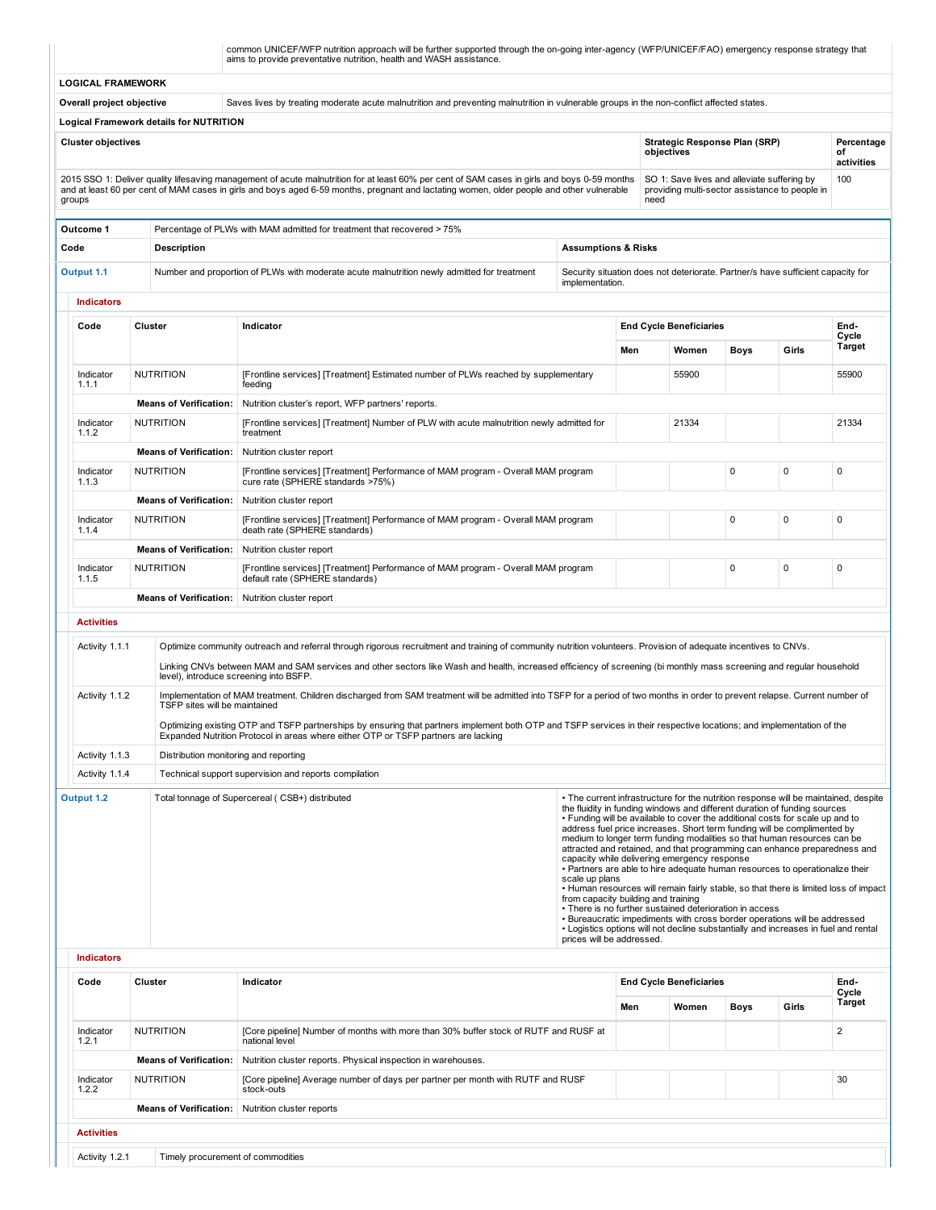|                          | common UNICEF/WFP nutrition approach will be further supported through the on-going inter-agency (WFP/UNICEF/FAO) emergency response strategy that<br>aims to provide preventative nutrition, health and WASH assistance. |
|--------------------------|---------------------------------------------------------------------------------------------------------------------------------------------------------------------------------------------------------------------------|
| <b>LOGICAL FRAMEWORK</b> |                                                                                                                                                                                                                           |

Overall project objective Saves lives by treating moderate acute malnutrition and preventing malnutrition in vulnerable groups in the non-conflict affected states.

Logical Framework details for NUTRITION

| <b>Cluster objectives</b>                                                                                                                                                                                                                                                                           | Strategic Response Plan (SRP)<br>obiectives                                                           | Percentage<br>οt<br>activities |
|-----------------------------------------------------------------------------------------------------------------------------------------------------------------------------------------------------------------------------------------------------------------------------------------------------|-------------------------------------------------------------------------------------------------------|--------------------------------|
| 2015 SSO 1: Deliver quality lifesaving management of acute malnutrition for at least 60% per cent of SAM cases in girls and boys 0-59 months<br>and at least 60 per cent of MAM cases in girls and boys aged 6-59 months, pregnant and lactating women, older people and other vulnerable<br>groups | SO 1: Save lives and alleviate suffering by<br>providing multi-sector assistance to people in<br>need | 100                            |

| Outcome 1                              |                               | Percentage of PLWs with MAM admitted for treatment that recovered > 75%                                                |                                |       |                                                                                 |             |             |               |  |  |  |  |  |
|----------------------------------------|-------------------------------|------------------------------------------------------------------------------------------------------------------------|--------------------------------|-------|---------------------------------------------------------------------------------|-------------|-------------|---------------|--|--|--|--|--|
| Code                                   | <b>Description</b>            |                                                                                                                        | <b>Assumptions &amp; Risks</b> |       |                                                                                 |             |             |               |  |  |  |  |  |
| Output 1.1                             |                               | Number and proportion of PLWs with moderate acute malnutrition newly admitted for treatment                            | implementation.                |       | Security situation does not deteriorate. Partner/s have sufficient capacity for |             |             |               |  |  |  |  |  |
| <b>Indicators</b>                      |                               |                                                                                                                        |                                |       |                                                                                 |             |             |               |  |  |  |  |  |
| Code<br>Cluster                        |                               | Indicator                                                                                                              |                                |       | <b>End Cycle Beneficiaries</b>                                                  |             |             | End-<br>Cycle |  |  |  |  |  |
|                                        |                               |                                                                                                                        | Men                            | Women | <b>Boys</b>                                                                     | Girls       | Target      |               |  |  |  |  |  |
| Indicator<br>1.1.1                     | <b>NUTRITION</b>              | [Frontline services] [Treatment] Estimated number of PLWs reached by supplementary<br>feeding                          |                                | 55900 |                                                                                 |             | 55900       |               |  |  |  |  |  |
| <b>Means of Verification:</b>          |                               | Nutrition cluster's report, WFP partners' reports.                                                                     |                                |       |                                                                                 |             |             |               |  |  |  |  |  |
| Indicator<br>1.1.2                     | <b>NUTRITION</b>              | [Frontline services] [Treatment] Number of PLW with acute malnutrition newly admitted for<br>treatment                 |                                | 21334 |                                                                                 |             | 21334       |               |  |  |  |  |  |
|                                        | <b>Means of Verification:</b> | Nutrition cluster report                                                                                               |                                |       |                                                                                 |             |             |               |  |  |  |  |  |
| Indicator<br>1.1.3                     | <b>NUTRITION</b>              | [Frontline services] [Treatment] Performance of MAM program - Overall MAM program<br>cure rate (SPHERE standards >75%) |                                |       |                                                                                 | $\mathbf 0$ | $\mathbf 0$ | 0             |  |  |  |  |  |
|                                        | <b>Means of Verification:</b> | Nutrition cluster report                                                                                               |                                |       |                                                                                 |             |             |               |  |  |  |  |  |
| <b>NUTRITION</b><br>Indicator<br>1.1.4 |                               | [Frontline services] [Treatment] Performance of MAM program - Overall MAM program<br>death rate (SPHERE standards)     |                                |       |                                                                                 | $\mathbf 0$ | $\mathbf 0$ | 0             |  |  |  |  |  |
|                                        | <b>Means of Verification:</b> | Nutrition cluster report                                                                                               |                                |       |                                                                                 |             |             |               |  |  |  |  |  |

0 0 0

NUTRITION [Frontline services] [Treatment] Performance of MAM program Overall MAM program default rate (SPHERE standards)

Means of Verification: Nutrition cluster report

Indicator 1.1.5

| <b>Activities</b> |                                                                                                                                                                                                                                                                                                                                                                                   |                                                                                                                                                                                                                                                                                                                                                                                                                                                                                                                                                                                                                                                                                                                                                                                                                                                                                                                                                                                                                                    |  |  |  |  |  |  |  |  |  |
|-------------------|-----------------------------------------------------------------------------------------------------------------------------------------------------------------------------------------------------------------------------------------------------------------------------------------------------------------------------------------------------------------------------------|------------------------------------------------------------------------------------------------------------------------------------------------------------------------------------------------------------------------------------------------------------------------------------------------------------------------------------------------------------------------------------------------------------------------------------------------------------------------------------------------------------------------------------------------------------------------------------------------------------------------------------------------------------------------------------------------------------------------------------------------------------------------------------------------------------------------------------------------------------------------------------------------------------------------------------------------------------------------------------------------------------------------------------|--|--|--|--|--|--|--|--|--|
| Activity 1.1.1    | Optimize community outreach and referral through rigorous recruitment and training of community nutrition volunteers. Provision of adequate incentives to CNVs.<br>Linking CNVs between MAM and SAM services and other sectors like Wash and health, increased efficiency of screening (bi monthly mass screening and reqular household<br>level), introduce screening into BSFP. |                                                                                                                                                                                                                                                                                                                                                                                                                                                                                                                                                                                                                                                                                                                                                                                                                                                                                                                                                                                                                                    |  |  |  |  |  |  |  |  |  |
| Activity 1.1.2    | TSFP sites will be maintained<br>Expanded Nutrition Protocol in areas where either OTP or TSFP partners are lacking                                                                                                                                                                                                                                                               | Implementation of MAM treatment. Children discharged from SAM treatment will be admitted into TSFP for a period of two months in order to prevent relapse. Current number of<br>Optimizing existing OTP and TSFP partnerships by ensuring that partners implement both OTP and TSFP services in their respective locations; and implementation of the                                                                                                                                                                                                                                                                                                                                                                                                                                                                                                                                                                                                                                                                              |  |  |  |  |  |  |  |  |  |
| Activity 1.1.3    | Distribution monitoring and reporting                                                                                                                                                                                                                                                                                                                                             |                                                                                                                                                                                                                                                                                                                                                                                                                                                                                                                                                                                                                                                                                                                                                                                                                                                                                                                                                                                                                                    |  |  |  |  |  |  |  |  |  |
| Activity 1.1.4    | Technical support supervision and reports compilation                                                                                                                                                                                                                                                                                                                             |                                                                                                                                                                                                                                                                                                                                                                                                                                                                                                                                                                                                                                                                                                                                                                                                                                                                                                                                                                                                                                    |  |  |  |  |  |  |  |  |  |
| Output 1.2        | Total tonnage of Supercereal (CSB+) distributed                                                                                                                                                                                                                                                                                                                                   | • The current infrastructure for the nutrition response will be maintained, despite<br>the fluidity in funding windows and different duration of funding sources<br>. Funding will be available to cover the additional costs for scale up and to<br>address fuel price increases. Short term funding will be complimented by<br>medium to longer term funding modalities so that human resources can be<br>attracted and retained, and that programming can enhance preparedness and<br>capacity while delivering emergency response<br>. Partners are able to hire adequate human resources to operationalize their<br>scale up plans<br>. Human resources will remain fairly stable, so that there is limited loss of impact<br>from capacity building and training<br>• There is no further sustained deterioration in access<br>• Bureaucratic impediments with cross border operations will be addressed<br>• Logistics options will not decline substantially and increases in fuel and rental<br>prices will be addressed. |  |  |  |  |  |  |  |  |  |

|                                                     | <b>Indicators</b>                                          |                               |                                                                                                        |     |                                |             |       |                |  |  |  |
|-----------------------------------------------------|------------------------------------------------------------|-------------------------------|--------------------------------------------------------------------------------------------------------|-----|--------------------------------|-------------|-------|----------------|--|--|--|
|                                                     | Code                                                       | Cluster                       | Indicator                                                                                              |     | <b>End Cycle Beneficiaries</b> |             |       | End-<br>Cycle  |  |  |  |
|                                                     |                                                            |                               |                                                                                                        | Men | Women                          | <b>Boys</b> | Girls | <b>Target</b>  |  |  |  |
|                                                     | Indicator<br>1.2.1                                         | <b>NUTRITION</b>              | [Core pipeline] Number of months with more than 30% buffer stock of RUTF and RUSF at<br>national level |     |                                |             |       | $\overline{2}$ |  |  |  |
|                                                     |                                                            | <b>Means of Verification:</b> | Nutrition cluster reports. Physical inspection in warehouses.                                          |     |                                |             |       |                |  |  |  |
|                                                     | Indicator<br>1.2.2                                         | <b>NUTRITION</b>              | [Core pipeline] Average number of days per partner per month with RUTF and RUSF<br>stock-outs          |     |                                |             |       | 30             |  |  |  |
|                                                     | <b>Means of Verification:</b><br>Nutrition cluster reports |                               |                                                                                                        |     |                                |             |       |                |  |  |  |
|                                                     | <b>Activities</b>                                          |                               |                                                                                                        |     |                                |             |       |                |  |  |  |
|                                                     |                                                            |                               |                                                                                                        |     |                                |             |       |                |  |  |  |
| Activity 1.2.1<br>Timely procurement of commodities |                                                            |                               |                                                                                                        |     |                                |             |       |                |  |  |  |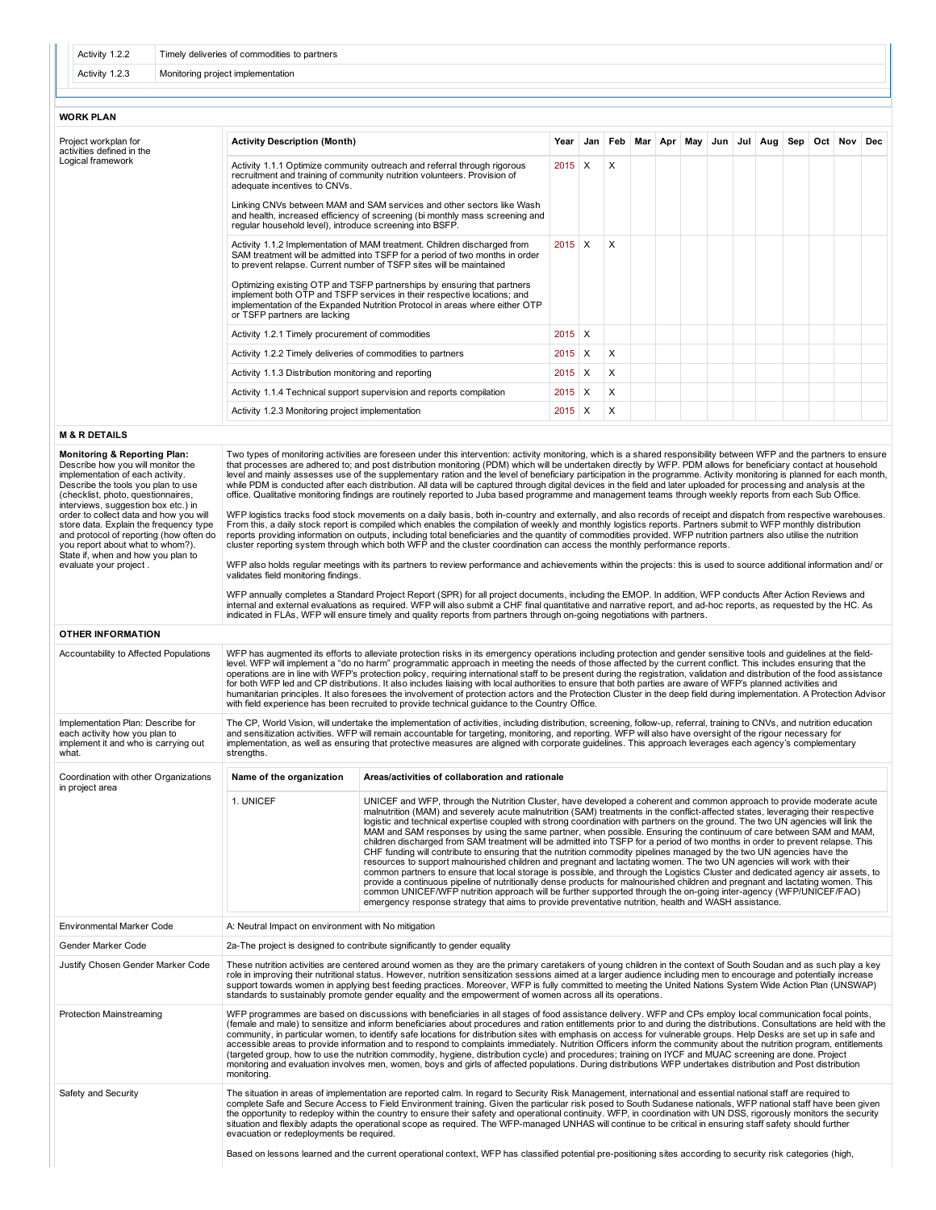| Activity 1.2.2 | Timely deliveries of commodities to partners |
|----------------|----------------------------------------------|
| Activity 1.2.3 | Monitoring project implementation            |

## WORK PLAN

| Project workplan for<br>activities defined in the | <b>Activity Description (Month)</b>                                                                                                                                                                                                                                                                                                                                                                                                                                                                  | Year     |          |  |  | Jan Feb Mar Apr May Jun Jul Aug Sep Oct Nov Dec |  |  |
|---------------------------------------------------|------------------------------------------------------------------------------------------------------------------------------------------------------------------------------------------------------------------------------------------------------------------------------------------------------------------------------------------------------------------------------------------------------------------------------------------------------------------------------------------------------|----------|----------|--|--|-------------------------------------------------|--|--|
| Logical framework                                 | Activity 1.1.1 Optimize community outreach and referral through rigorous<br>recruitment and training of community nutrition volunteers. Provision of<br>adequate incentives to CNVs.<br>Linking CNVs between MAM and SAM services and other sectors like Wash<br>and health, increased efficiency of screening (bi monthly mass screening and<br>regular household level), introduce screening into BSFP.                                                                                            | $2015$ X | X        |  |  |                                                 |  |  |
|                                                   | Activity 1.1.2 Implementation of MAM treatment. Children discharged from<br>SAM treatment will be admitted into TSFP for a period of two months in order<br>to prevent relapse. Current number of TSFP sites will be maintained<br>Optimizing existing OTP and TSFP partnerships by ensuring that partners<br>implement both OTP and TSFP services in their respective locations; and<br>implementation of the Expanded Nutrition Protocol in areas where either OTP<br>or TSFP partners are lacking | $2015$ X | $\times$ |  |  |                                                 |  |  |
|                                                   | Activity 1.2.1 Timely procurement of commodities                                                                                                                                                                                                                                                                                                                                                                                                                                                     | $2015$ X |          |  |  |                                                 |  |  |
|                                                   | Activity 1.2.2 Timely deliveries of commodities to partners                                                                                                                                                                                                                                                                                                                                                                                                                                          | $2015$ X | X        |  |  |                                                 |  |  |
|                                                   | Activity 1.1.3 Distribution monitoring and reporting                                                                                                                                                                                                                                                                                                                                                                                                                                                 | $2015$ X | X        |  |  |                                                 |  |  |
|                                                   | Activity 1.1.4 Technical support supervision and reports compilation                                                                                                                                                                                                                                                                                                                                                                                                                                 | $2015$ X | X        |  |  |                                                 |  |  |
|                                                   | Activity 1.2.3 Monitoring project implementation                                                                                                                                                                                                                                                                                                                                                                                                                                                     | $2015$ X | X        |  |  |                                                 |  |  |
| <b>M &amp; R DETAILS</b>                          |                                                                                                                                                                                                                                                                                                                                                                                                                                                                                                      |          |          |  |  |                                                 |  |  |

(checklist, photo, questionnaires, interviews, suggestion box etc.) in order to collect data and how you will store data. Explain the frequency type Two types of monitoring activities are foreseen under this intervention: activity monitoring, which is a shared responsibility between WFP and the partners to ensure<br>that processes are adhered to; and post distribution mon office. Qualitative monitoring findings are routinely reported to Juba based programme and management teams through weekly reports from each Sub Office.

and protocol of reporting (how often do you report about what to whom?). State if, when and how you plan to WFP logistics tracks food stock movements on a daily basis, both in-country and externally, and also records of receipt and dispatch from respective warehouses.<br>From this, a daily stock report is compiled which enables the reports providing information on outputs, including total beneficiaries and the quantity of commodities provided. WFP nutrition partners also utilise the nutrition<br>cluster reporting system through which both WFP and the cl

WFP also holds regular meetings with its partners to review performance and achievements within the projects: this is used to source additional information and/ or validates field monitoring findings.

WFP annually completes a Standard Project Report (SPR) for all project documents, including the EMOP. In addition, WFP conducts After Action Reviews and<br>internal and external evaluations as required. WFP will also submit a

## OTHER INFORMATION

evaluate your project .

Monitoring & Reporting Plan: Describe how you will monitor the implementation of each activity. Describe the tools you plan to use

| Accountability to Affected Populations                                                                              |                                                     | WFP has augmented its efforts to alleviate protection risks in its emergency operations including protection and gender sensitive tools and guidelines at the field-<br>level. WFP will implement a "do no harm" programmatic approach in meeting the needs of those affected by the current conflict. This includes ensuring that the<br>operations are in line with WFP's protection policy, requiring international staff to be present during the registration, validation and distribution of the food assistance<br>for both WFP led and CP distributions. It also includes liaising with local authorities to ensure that both parties are aware of WFP's planned activities and<br>humanitarian principles. It also foresees the involvement of protection actors and the Protection Cluster in the deep field during implementation. A Protection Advisor<br>with field experience has been recruited to provide technical quidance to the Country Office.                                                                                                                                                                                                                                                                                                                                                                                                                                          |  |  |  |  |  |  |  |  |
|---------------------------------------------------------------------------------------------------------------------|-----------------------------------------------------|--------------------------------------------------------------------------------------------------------------------------------------------------------------------------------------------------------------------------------------------------------------------------------------------------------------------------------------------------------------------------------------------------------------------------------------------------------------------------------------------------------------------------------------------------------------------------------------------------------------------------------------------------------------------------------------------------------------------------------------------------------------------------------------------------------------------------------------------------------------------------------------------------------------------------------------------------------------------------------------------------------------------------------------------------------------------------------------------------------------------------------------------------------------------------------------------------------------------------------------------------------------------------------------------------------------------------------------------------------------------------------------------------------------|--|--|--|--|--|--|--|--|
| Implementation Plan: Describe for<br>each activity how you plan to<br>implement it and who is carrying out<br>what. | strengths.                                          | The CP, World Vision, will undertake the implementation of activities, including distribution, screening, follow-up, referral, training to CNVs, and nutrition education<br>and sensitization activities. WFP will remain accountable for targeting, monitoring, and reporting. WFP will also have oversight of the rigour necessary for<br>implementation, as well as ensuring that protective measures are aligned with corporate quidelines. This approach leverages each agency's complementary                                                                                                                                                                                                                                                                                                                                                                                                                                                                                                                                                                                                                                                                                                                                                                                                                                                                                                          |  |  |  |  |  |  |  |  |
| Coordination with other Organizations<br>in project area                                                            | Name of the organization                            | Areas/activities of collaboration and rationale                                                                                                                                                                                                                                                                                                                                                                                                                                                                                                                                                                                                                                                                                                                                                                                                                                                                                                                                                                                                                                                                                                                                                                                                                                                                                                                                                              |  |  |  |  |  |  |  |  |
|                                                                                                                     | 1. UNICEF                                           | UNICEF and WFP, through the Nutrition Cluster, have developed a coherent and common approach to provide moderate acute<br>malnutrition (MAM) and severely acute malnutrition (SAM) treatments in the conflict-affected states, leveraging their respective<br>logistic and technical expertise coupled with strong coordination with partners on the ground. The two UN agencies will link the<br>MAM and SAM responses by using the same partner, when possible. Ensuring the continuum of care between SAM and MAM,<br>children discharged from SAM treatment will be admitted into TSFP for a period of two months in order to prevent relapse. This<br>CHF funding will contribute to ensuring that the nutrition commodity pipelines managed by the two UN agencies have the<br>resources to support malnourished children and pregnant and lactating women. The two UN agencies will work with their<br>common partners to ensure that local storage is possible, and through the Logistics Cluster and dedicated agency air assets, to<br>provide a continuous pipeline of nutritionally dense products for malnourished children and pregnant and lactating women. This<br>common UNICEF/WFP nutrition approach will be further supported through the on-going inter-agency (WFP/UNICEF/FAO)<br>emergency response strategy that aims to provide preventative nutrition, health and WASH assistance. |  |  |  |  |  |  |  |  |
| Environmental Marker Code                                                                                           | A: Neutral Impact on environment with No mitigation |                                                                                                                                                                                                                                                                                                                                                                                                                                                                                                                                                                                                                                                                                                                                                                                                                                                                                                                                                                                                                                                                                                                                                                                                                                                                                                                                                                                                              |  |  |  |  |  |  |  |  |
| Gender Marker Code                                                                                                  |                                                     | 2a-The project is designed to contribute significantly to gender equality                                                                                                                                                                                                                                                                                                                                                                                                                                                                                                                                                                                                                                                                                                                                                                                                                                                                                                                                                                                                                                                                                                                                                                                                                                                                                                                                    |  |  |  |  |  |  |  |  |
| Justify Chosen Gender Marker Code                                                                                   |                                                     | These nutrition activities are centered around women as they are the primary caretakers of young children in the context of South Soudan and as such play a key<br>role in improving their nutritional status. However, nutrition sensitization sessions aimed at a larger audience including men to encourage and potentially increase<br>support towards women in applying best feeding practices. Moreover, WFP is fully committed to meeting the United Nations System Wide Action Plan (UNSWAP)<br>standards to sustainably promote gender equality and the empowerment of women across all its operations.                                                                                                                                                                                                                                                                                                                                                                                                                                                                                                                                                                                                                                                                                                                                                                                             |  |  |  |  |  |  |  |  |
| <b>Protection Mainstreaming</b>                                                                                     | monitoring.                                         | WFP programmes are based on discussions with beneficiaries in all stages of food assistance delivery. WFP and CPs employ local communication focal points,<br>(female and male) to sensitize and inform beneficiaries about procedures and ration entitlements prior to and during the distributions. Consultations are held with the<br>community, in particular women, to identify safe locations for distribution sites with emphasis on access for vulnerable groups. Help Desks are set up in safe and<br>accessible areas to provide information and to respond to complaints immediately. Nutrition Officers inform the community about the nutrition program, entitlements<br>(targeted group, how to use the nutrition commodity, hygiene, distribution cycle) and procedures; training on IYCF and MUAC screening are done. Project<br>monitoring and evaluation involves men, women, boys and girls of affected populations. During distributions WFP undertakes distribution and Post distribution                                                                                                                                                                                                                                                                                                                                                                                               |  |  |  |  |  |  |  |  |
| Safety and Security                                                                                                 | evacuation or redeployments be required.            | The situation in areas of implementation are reported calm. In regard to Security Risk Management, international and essential national staff are required to<br>complete Safe and Secure Access to Field Environment training. Given the particular risk posed to South Sudanese nationals, WFP national staff have been given<br>the opportunity to redeploy within the country to ensure their safety and operational continuity. WFP, in coordination with UN DSS, rigorously monitors the security<br>situation and flexibly adapts the operational scope as required. The WFP-managed UNHAS will continue to be critical in ensuring staff safety should further<br>Based on lessons learned and the current operational context, WFP has classified potential pre-positioning sites according to security risk categories (high,                                                                                                                                                                                                                                                                                                                                                                                                                                                                                                                                                                      |  |  |  |  |  |  |  |  |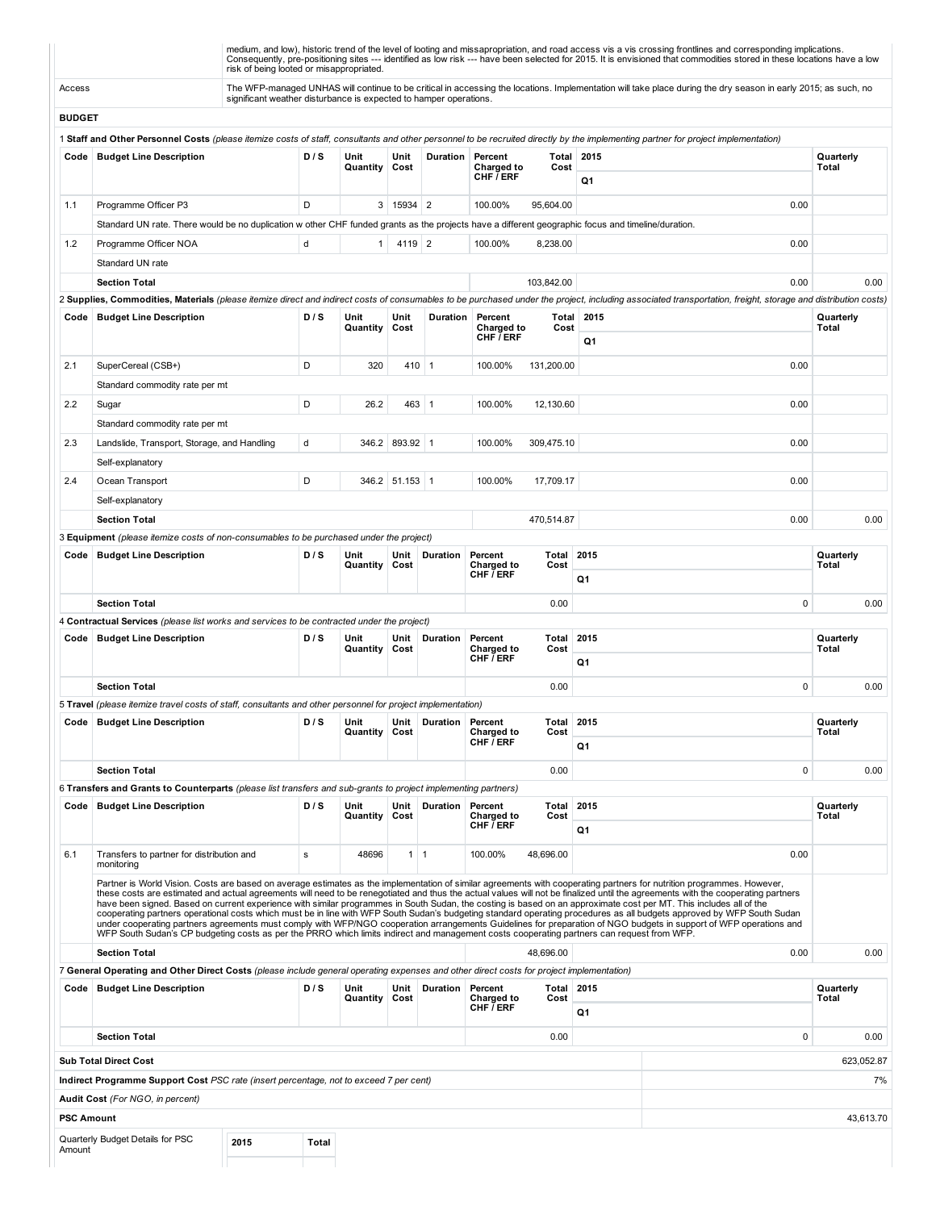|                   |                                                                                                                                                                            | risk of being looted or misappropriated.                          |       |                       |                |                  |                                             |               |                  | medium, and low), historic trend of the level of looting and missapropriation, and road access vis a vis crossing frontlines and corresponding implications.<br>Consequently, pre-positioning sites --- identified as low risk --- have been selected for 2015. It is envisioned that commodities stored in these locations have a low                                                                                                                                                                                                                                                                                                                                                                                                                                                                                                                                           |                    |
|-------------------|----------------------------------------------------------------------------------------------------------------------------------------------------------------------------|-------------------------------------------------------------------|-------|-----------------------|----------------|------------------|---------------------------------------------|---------------|------------------|----------------------------------------------------------------------------------------------------------------------------------------------------------------------------------------------------------------------------------------------------------------------------------------------------------------------------------------------------------------------------------------------------------------------------------------------------------------------------------------------------------------------------------------------------------------------------------------------------------------------------------------------------------------------------------------------------------------------------------------------------------------------------------------------------------------------------------------------------------------------------------|--------------------|
| Access            |                                                                                                                                                                            | significant weather disturbance is expected to hamper operations. |       |                       |                |                  |                                             |               |                  | The WFP-managed UNHAS will continue to be critical in accessing the locations. Implementation will take place during the dry season in early 2015; as such, no                                                                                                                                                                                                                                                                                                                                                                                                                                                                                                                                                                                                                                                                                                                   |                    |
| <b>BUDGET</b>     |                                                                                                                                                                            |                                                                   |       |                       |                |                  |                                             |               |                  |                                                                                                                                                                                                                                                                                                                                                                                                                                                                                                                                                                                                                                                                                                                                                                                                                                                                                  |                    |
|                   |                                                                                                                                                                            |                                                                   |       |                       |                |                  |                                             |               |                  | 1 Staff and Other Personnel Costs (please itemize costs of staff, consultants and other personnel to be recruited directly by the implementing partner for project implementation)                                                                                                                                                                                                                                                                                                                                                                                                                                                                                                                                                                                                                                                                                               |                    |
|                   | Code   Budget Line Description                                                                                                                                             |                                                                   | D/S   | Unit<br>Quantity      | Unit<br>Cost   |                  | Duration Percent<br>Charged to<br>CHF / ERF | Cost          | Total 2015<br>Q1 |                                                                                                                                                                                                                                                                                                                                                                                                                                                                                                                                                                                                                                                                                                                                                                                                                                                                                  | Quarterly<br>Total |
|                   |                                                                                                                                                                            |                                                                   | D     |                       | 3   15934   2  |                  | 100.00%                                     |               |                  |                                                                                                                                                                                                                                                                                                                                                                                                                                                                                                                                                                                                                                                                                                                                                                                                                                                                                  |                    |
| 1.1               | Programme Officer P3<br>Standard UN rate. There would be no duplication w other CHF funded grants as the projects have a different geographic focus and timeline/duration. |                                                                   |       |                       |                |                  |                                             | 95,604.00     |                  | 0.00                                                                                                                                                                                                                                                                                                                                                                                                                                                                                                                                                                                                                                                                                                                                                                                                                                                                             |                    |
| 1.2               | Programme Officer NOA                                                                                                                                                      |                                                                   | d     | 1                     | 4119 2         |                  | 100.00%                                     | 8,238.00      |                  | 0.00                                                                                                                                                                                                                                                                                                                                                                                                                                                                                                                                                                                                                                                                                                                                                                                                                                                                             |                    |
|                   | Standard UN rate                                                                                                                                                           |                                                                   |       |                       |                |                  |                                             |               |                  |                                                                                                                                                                                                                                                                                                                                                                                                                                                                                                                                                                                                                                                                                                                                                                                                                                                                                  |                    |
|                   | <b>Section Total</b>                                                                                                                                                       |                                                                   |       |                       |                |                  |                                             | 103,842.00    |                  | 0.00                                                                                                                                                                                                                                                                                                                                                                                                                                                                                                                                                                                                                                                                                                                                                                                                                                                                             | 0.00               |
|                   |                                                                                                                                                                            |                                                                   |       |                       |                |                  |                                             |               |                  | 2 Supplies, Commodities, Materials (please itemize direct and indirect costs of consumables to be purchased under the project, including associated transportation, freight, storage and distribution costs)                                                                                                                                                                                                                                                                                                                                                                                                                                                                                                                                                                                                                                                                     |                    |
| Code              | <b>Budget Line Description</b>                                                                                                                                             |                                                                   | D/S   | Unit<br>Quantity      | Unit<br>Cost   | Duration         | Percent<br>Charged to<br>CHF / ERF          | Total<br>Cost | 2015<br>Q1       |                                                                                                                                                                                                                                                                                                                                                                                                                                                                                                                                                                                                                                                                                                                                                                                                                                                                                  | Quarterly<br>Total |
| 2.1               | SuperCereal (CSB+)                                                                                                                                                         |                                                                   | D     | 320                   |                | $410$ 1          | 100.00%                                     | 131,200.00    |                  | 0.00                                                                                                                                                                                                                                                                                                                                                                                                                                                                                                                                                                                                                                                                                                                                                                                                                                                                             |                    |
|                   | Standard commodity rate per mt                                                                                                                                             |                                                                   |       |                       |                |                  |                                             |               |                  |                                                                                                                                                                                                                                                                                                                                                                                                                                                                                                                                                                                                                                                                                                                                                                                                                                                                                  |                    |
| 2.2               | Sugar                                                                                                                                                                      |                                                                   | D     | 26.2                  | 463            | $\vert$ 1        | 100.00%                                     | 12,130.60     |                  | 0.00                                                                                                                                                                                                                                                                                                                                                                                                                                                                                                                                                                                                                                                                                                                                                                                                                                                                             |                    |
|                   | Standard commodity rate per mt                                                                                                                                             |                                                                   |       |                       |                |                  |                                             |               |                  |                                                                                                                                                                                                                                                                                                                                                                                                                                                                                                                                                                                                                                                                                                                                                                                                                                                                                  |                    |
| 2.3               | Landslide, Transport, Storage, and Handling                                                                                                                                |                                                                   | d     |                       | 346.2 893.92 1 |                  | 100.00%                                     | 309,475.10    |                  | 0.00                                                                                                                                                                                                                                                                                                                                                                                                                                                                                                                                                                                                                                                                                                                                                                                                                                                                             |                    |
|                   | Self-explanatory                                                                                                                                                           |                                                                   |       |                       |                |                  |                                             |               |                  |                                                                                                                                                                                                                                                                                                                                                                                                                                                                                                                                                                                                                                                                                                                                                                                                                                                                                  |                    |
| 2.4               | Ocean Transport                                                                                                                                                            |                                                                   | D     |                       | 346.2 51.153 1 |                  | 100.00%                                     | 17,709.17     |                  | 0.00                                                                                                                                                                                                                                                                                                                                                                                                                                                                                                                                                                                                                                                                                                                                                                                                                                                                             |                    |
|                   | Self-explanatory                                                                                                                                                           |                                                                   |       |                       |                |                  |                                             |               |                  |                                                                                                                                                                                                                                                                                                                                                                                                                                                                                                                                                                                                                                                                                                                                                                                                                                                                                  |                    |
|                   | <b>Section Total</b>                                                                                                                                                       |                                                                   |       |                       |                |                  |                                             | 470,514.87    |                  | 0.00                                                                                                                                                                                                                                                                                                                                                                                                                                                                                                                                                                                                                                                                                                                                                                                                                                                                             | 0.00               |
|                   | 3 <b>Equipment</b> (please itemize costs of non-consumables to be purchased under the project)                                                                             |                                                                   |       |                       |                |                  |                                             |               |                  |                                                                                                                                                                                                                                                                                                                                                                                                                                                                                                                                                                                                                                                                                                                                                                                                                                                                                  |                    |
|                   | Code   Budget Line Description                                                                                                                                             |                                                                   | D / S | Unit<br>Quantity      | Unit<br>Cost   | Duration         | Percent<br>Charged to                       | Total<br>Cost | 2015             |                                                                                                                                                                                                                                                                                                                                                                                                                                                                                                                                                                                                                                                                                                                                                                                                                                                                                  | Quarterly<br>Total |
|                   |                                                                                                                                                                            |                                                                   |       |                       |                |                  | CHF / ERF                                   |               | Q1               |                                                                                                                                                                                                                                                                                                                                                                                                                                                                                                                                                                                                                                                                                                                                                                                                                                                                                  |                    |
|                   | <b>Section Total</b>                                                                                                                                                       |                                                                   |       |                       |                |                  |                                             | 0.00          |                  | $\pmb{0}$                                                                                                                                                                                                                                                                                                                                                                                                                                                                                                                                                                                                                                                                                                                                                                                                                                                                        | 0.00               |
|                   | 4 Contractual Services (please list works and services to be contracted under the project)                                                                                 |                                                                   |       |                       |                |                  |                                             |               |                  |                                                                                                                                                                                                                                                                                                                                                                                                                                                                                                                                                                                                                                                                                                                                                                                                                                                                                  |                    |
|                   | Code   Budget Line Description                                                                                                                                             |                                                                   | D/S   | Unit<br>Quantity      | Unit<br>Cost   | <b>Duration</b>  | Percent<br>Charged to<br>CHF $\bar{I}$ ERF  | Total<br>Cost | 2015<br>Q1       |                                                                                                                                                                                                                                                                                                                                                                                                                                                                                                                                                                                                                                                                                                                                                                                                                                                                                  | Quarterly<br>Total |
|                   | <b>Section Total</b>                                                                                                                                                       |                                                                   |       |                       |                |                  |                                             | 0.00          |                  | $\mathbf 0$                                                                                                                                                                                                                                                                                                                                                                                                                                                                                                                                                                                                                                                                                                                                                                                                                                                                      | 0.00               |
|                   | 5 Travel (please itemize travel costs of staff, consultants and other personnel for project implementation)                                                                |                                                                   |       |                       |                |                  |                                             |               |                  |                                                                                                                                                                                                                                                                                                                                                                                                                                                                                                                                                                                                                                                                                                                                                                                                                                                                                  |                    |
|                   | Code   Budget Line Description                                                                                                                                             |                                                                   | D/S   | Unit<br>Quantity Cost | Unit           | Duration Percent | Charged to<br>CHF $\bar{I}$ ERF             | Total<br>Cost | 2015<br>Q1       |                                                                                                                                                                                                                                                                                                                                                                                                                                                                                                                                                                                                                                                                                                                                                                                                                                                                                  | Quarterly<br>Total |
|                   |                                                                                                                                                                            |                                                                   |       |                       |                |                  |                                             |               |                  | $\mathsf 0$                                                                                                                                                                                                                                                                                                                                                                                                                                                                                                                                                                                                                                                                                                                                                                                                                                                                      |                    |
|                   | <b>Section Total</b><br>6 Transfers and Grants to Counterparts (please list transfers and sub-grants to project implementing partners)                                     |                                                                   |       |                       |                |                  |                                             | 0.00          |                  |                                                                                                                                                                                                                                                                                                                                                                                                                                                                                                                                                                                                                                                                                                                                                                                                                                                                                  | 0.00               |
| Code              | <b>Budget Line Description</b>                                                                                                                                             |                                                                   | D / S | Unit                  | Unit           | Duration         | Percent                                     | Total         | 2015             |                                                                                                                                                                                                                                                                                                                                                                                                                                                                                                                                                                                                                                                                                                                                                                                                                                                                                  | Quarterly          |
|                   |                                                                                                                                                                            |                                                                   |       | Quantity              | Cost           |                  | Charged to<br>CHF $\bar{I}$ ERF             | Cost          | Q1               |                                                                                                                                                                                                                                                                                                                                                                                                                                                                                                                                                                                                                                                                                                                                                                                                                                                                                  | Total              |
| 6.1               | Transfers to partner for distribution and<br>monitorina                                                                                                                    |                                                                   | s     | 48696                 | $1 \mid 1$     |                  | 100.00%                                     | 48,696.00     |                  | 0.00                                                                                                                                                                                                                                                                                                                                                                                                                                                                                                                                                                                                                                                                                                                                                                                                                                                                             |                    |
|                   | WFP South Sudan's CP budgeting costs as per the PRRO which limits indirect and management costs cooperating partners can request from WFP.                                 |                                                                   |       |                       |                |                  |                                             |               |                  | Partner is World Vision. Costs are based on average estimates as the implementation of similar agreements with cooperating partners for nutrition programmes. However,<br>these costs are estimated and actual agreements will need to be renegotiated and thus the actual values will not be finalized until the agreements with the cooperating partners<br>have been signed. Based on current experience with similar programmes in South Sudan, the costing is based on an approximate cost per MT. This includes all of the<br>cooperating partners operational costs which must be in line with WFP South Sudan's budgeting standard operating procedures as all budgets approved by WFP South Sudan<br>under cooperating partners agreements must comply with WFP/NGO cooperation arrangements Guidelines for preparation of NGO budgets in support of WFP operations and |                    |
|                   | <b>Section Total</b>                                                                                                                                                       |                                                                   |       |                       |                |                  |                                             | 48,696.00     |                  | 0.00                                                                                                                                                                                                                                                                                                                                                                                                                                                                                                                                                                                                                                                                                                                                                                                                                                                                             | 0.00               |
|                   | 7 General Operating and Other Direct Costs (please include general operating expenses and other direct costs for project implementation)                                   |                                                                   |       |                       |                |                  |                                             |               |                  |                                                                                                                                                                                                                                                                                                                                                                                                                                                                                                                                                                                                                                                                                                                                                                                                                                                                                  |                    |
| Code              | <b>Budget Line Description</b>                                                                                                                                             |                                                                   | D/S   | Unit<br>Quantity      | Unit<br>Cost   | Duration         | Percent<br>Charged to                       | Total<br>Cost | 2015             |                                                                                                                                                                                                                                                                                                                                                                                                                                                                                                                                                                                                                                                                                                                                                                                                                                                                                  | Quarterly<br>Total |
|                   |                                                                                                                                                                            |                                                                   |       |                       |                |                  | CHF / ERF                                   |               | Q1               |                                                                                                                                                                                                                                                                                                                                                                                                                                                                                                                                                                                                                                                                                                                                                                                                                                                                                  |                    |
|                   | <b>Section Total</b>                                                                                                                                                       |                                                                   |       |                       |                |                  |                                             | 0.00          |                  | $\mathbf 0$                                                                                                                                                                                                                                                                                                                                                                                                                                                                                                                                                                                                                                                                                                                                                                                                                                                                      | 0.00               |
|                   | <b>Sub Total Direct Cost</b>                                                                                                                                               |                                                                   |       |                       |                |                  |                                             |               |                  |                                                                                                                                                                                                                                                                                                                                                                                                                                                                                                                                                                                                                                                                                                                                                                                                                                                                                  | 623,052.87         |
|                   | Indirect Programme Support Cost PSC rate (insert percentage, not to exceed 7 per cent)                                                                                     |                                                                   |       |                       |                |                  |                                             |               |                  |                                                                                                                                                                                                                                                                                                                                                                                                                                                                                                                                                                                                                                                                                                                                                                                                                                                                                  | 7%                 |
|                   | Audit Cost (For NGO, in percent)                                                                                                                                           |                                                                   |       |                       |                |                  |                                             |               |                  |                                                                                                                                                                                                                                                                                                                                                                                                                                                                                                                                                                                                                                                                                                                                                                                                                                                                                  |                    |
| <b>PSC Amount</b> |                                                                                                                                                                            |                                                                   |       |                       |                |                  |                                             |               |                  |                                                                                                                                                                                                                                                                                                                                                                                                                                                                                                                                                                                                                                                                                                                                                                                                                                                                                  | 43,613.70          |
| Amount            | Quarterly Budget Details for PSC                                                                                                                                           | 2015                                                              | Total |                       |                |                  |                                             |               |                  |                                                                                                                                                                                                                                                                                                                                                                                                                                                                                                                                                                                                                                                                                                                                                                                                                                                                                  |                    |